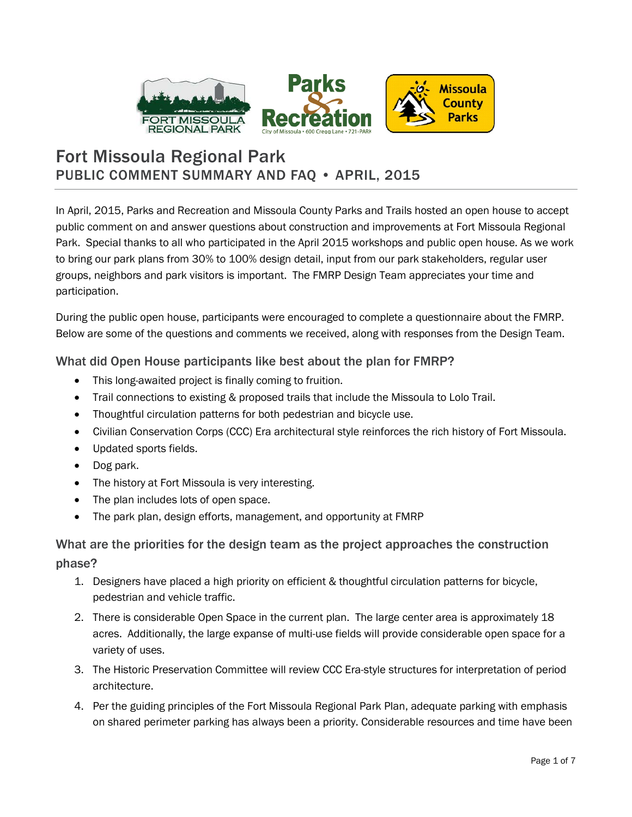

# Fort Missoula Regional Park PUBLIC COMMENT SUMMARY AND FAQ • APRIL, 2015

In April, 2015, Parks and Recreation and Missoula County Parks and Trails hosted an open house to accept public comment on and answer questions about construction and improvements at Fort Missoula Regional Park. Special thanks to all who participated in the April 2015 workshops and public open house. As we work to bring our park plans from 30% to 100% design detail, input from our park stakeholders, regular user groups, neighbors and park visitors is important. The FMRP Design Team appreciates your time and participation.

During the public open house, participants were encouraged to complete a questionnaire about the FMRP. Below are some of the questions and comments we received, along with responses from the Design Team.

# What did Open House participants like best about the plan for FMRP?

- This long-awaited project is finally coming to fruition.
- Trail connections to existing & proposed trails that include the Missoula to Lolo Trail.
- Thoughtful circulation patterns for both pedestrian and bicycle use.
- Civilian Conservation Corps (CCC) Era architectural style reinforces the rich history of Fort Missoula.
- Updated sports fields.
- Dog park.
- The history at Fort Missoula is very interesting.
- The plan includes lots of open space.
- The park plan, design efforts, management, and opportunity at FMRP

# What are the priorities for the design team as the project approaches the construction phase?

- 1. Designers have placed a high priority on efficient & thoughtful circulation patterns for bicycle, pedestrian and vehicle traffic.
	- 2. There is considerable Open Space in the current plan. The large center area is approximately 18 acres. Additionally, the large expanse of multi-use fields will provide considerable open space for a variety of uses.
	- 3. The Historic Preservation Committee will review CCC Era-style structures for interpretation of period architecture.
	- 4. Per the guiding principles of the Fort Missoula Regional Park Plan, adequate parking with emphasis on shared perimeter parking has always been a priority. Considerable resources and time have been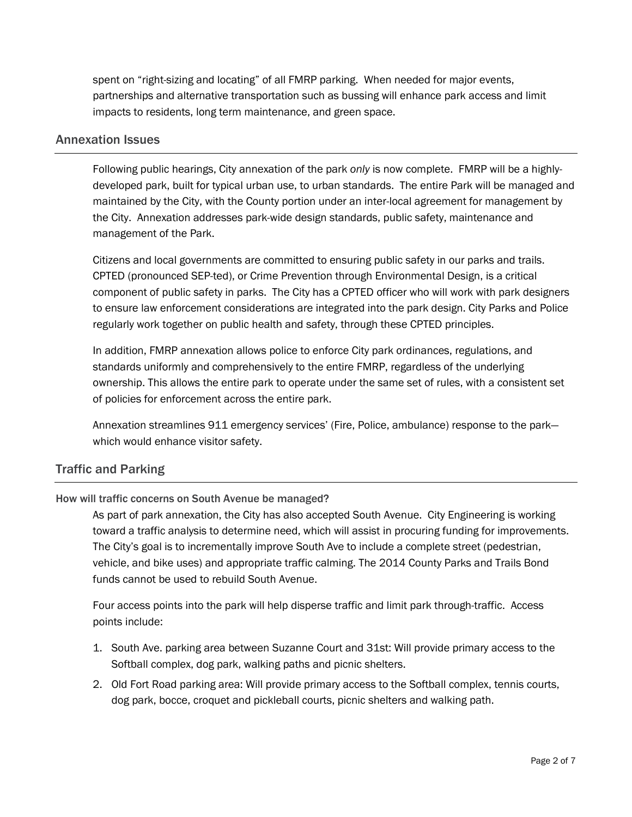spent on "right-sizing and locating" of all FMRP parking. When needed for major events, partnerships and alternative transportation such as bussing will enhance park access and limit impacts to residents, long term maintenance, and green space.

### Annexation Issues

Following public hearings, City annexation of the park *only* is now complete. FMRP will be a highlydeveloped park, built for typical urban use, to urban standards. The entire Park will be managed and maintained by the City, with the County portion under an inter-local agreement for management by the City. Annexation addresses park-wide design standards, public safety, maintenance and management of the Park.

Citizens and local governments are committed to ensuring public safety in our parks and trails. CPTED (pronounced SEP-ted), or Crime Prevention through Environmental Design, is a critical component of public safety in parks. The City has a CPTED officer who will work with park designers to ensure law enforcement considerations are integrated into the park design. City Parks and Police regularly work together on public health and safety, through these CPTED principles.

In addition, FMRP annexation allows police to enforce City park ordinances, regulations, and standards uniformly and comprehensively to the entire FMRP, regardless of the underlying ownership. This allows the entire park to operate under the same set of rules, with a consistent set of policies for enforcement across the entire park.

Annexation streamlines 911 emergency services' (Fire, Police, ambulance) response to the park which would enhance visitor safety.

## Traffic and Parking

## How will traffic concerns on South Avenue be managed?

As part of park annexation, the City has also accepted South Avenue. City Engineering is working toward a traffic analysis to determine need, which will assist in procuring funding for improvements. The City's goal is to incrementally improve South Ave to include a complete street (pedestrian, vehicle, and bike uses) and appropriate traffic calming. The 2014 County Parks and Trails Bond funds cannot be used to rebuild South Avenue.

Four access points into the park will help disperse traffic and limit park through-traffic. Access points include:

- 1. South Ave. parking area between Suzanne Court and 31st: Will provide primary access to the Softball complex, dog park, walking paths and picnic shelters.
- 2. Old Fort Road parking area: Will provide primary access to the Softball complex, tennis courts, dog park, bocce, croquet and pickleball courts, picnic shelters and walking path.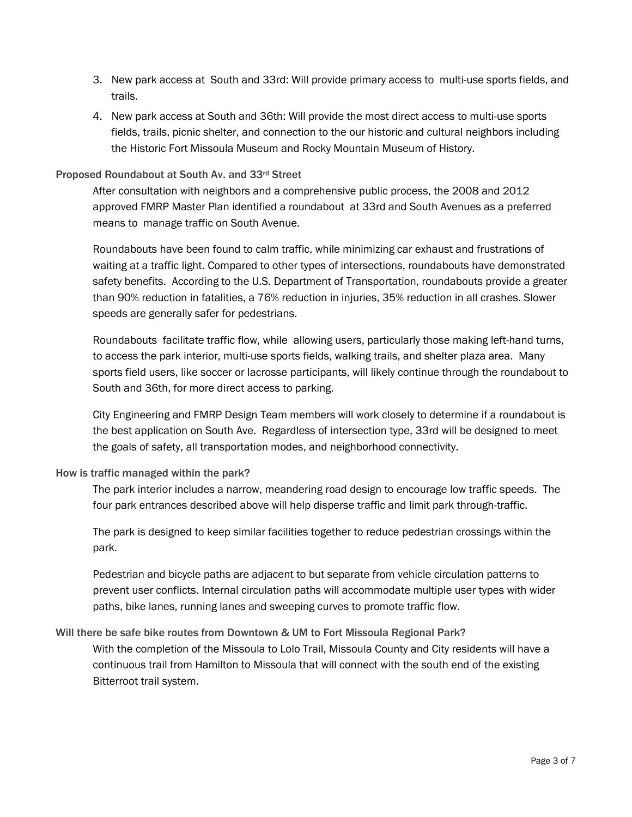- 3. New park access at South and 33rd: Will provide primary access to multi-use sports fields, and trails.
- 4. New park access at South and 36th: Will provide the most direct access to multi-use sports fields, trails, picnic shelter, and connection to the our historic and cultural neighbors including the Historic Fort Missoula Museum and Rocky Mountain Museum of History.

#### Proposed Roundabout at South Av. and 33rd Street

After consultation with neighbors and a comprehensive public process, the 2008 and 2012 approved FMRP Master Plan identified a roundabout at 33rd and South Avenues as a preferred means to manage traffic on South Avenue.

Roundabouts have been found to calm traffic, while minimizing car exhaust and frustrations of waiting at a traffic light. Compared to other types of intersections, roundabouts have demonstrated safety benefits. According to the U.S. Department of Transportation, roundabouts provide a greater than 90% reduction in fatalities, a 76% reduction in injuries, 35% reduction in all crashes. Slower speeds are generally safer for pedestrians.

Roundabouts facilitate traffic flow, while allowing users, particularly those making left-hand turns, to access the park interior, multi-use sports fields, walking trails, and shelter plaza area. Many sports field users, like soccer or lacrosse participants, will likely continue through the roundabout to South and 36th, for more direct access to parking.

City Engineering and FMRP Design Team members will work closely to determine if a roundabout is the best application on South Ave. Regardless of intersection type, 33rd will be designed to meet the goals of safety, all transportation modes, and neighborhood connectivity.

#### How is traffic managed within the park?

The park interior includes a narrow, meandering road design to encourage low traffic speeds. The four park entrances described above will help disperse traffic and limit park through-traffic.

The park is designed to keep similar facilities together to reduce pedestrian crossings within the park.

Pedestrian and bicycle paths are adjacent to but separate from vehicle circulation patterns to prevent user conflicts. Internal circulation paths will accommodate multiple user types with wider paths, bike lanes, running lanes and sweeping curves to promote traffic flow.

## Will there be safe bike routes from Downtown & UM to Fort Missoula Regional Park?

With the completion of the Missoula to Lolo Trail, Missoula County and City residents will have a continuous trail from Hamilton to Missoula that will connect with the south end of the existing Bitterroot trail system.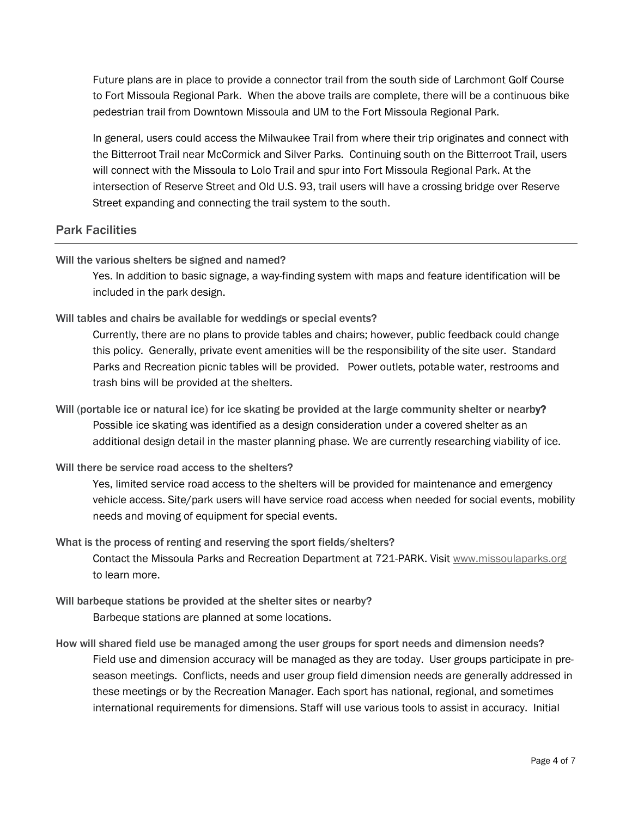Future plans are in place to provide a connector trail from the south side of Larchmont Golf Course to Fort Missoula Regional Park. When the above trails are complete, there will be a continuous bike pedestrian trail from Downtown Missoula and UM to the Fort Missoula Regional Park.

In general, users could access the Milwaukee Trail from where their trip originates and connect with the Bitterroot Trail near McCormick and Silver Parks. Continuing south on the Bitterroot Trail, users will connect with the Missoula to Lolo Trail and spur into Fort Missoula Regional Park. At the intersection of Reserve Street and Old U.S. 93, trail users will have a crossing bridge over Reserve Street expanding and connecting the trail system to the south.

# Park Facilities

### Will the various shelters be signed and named?

Yes. In addition to basic signage, a way-finding system with maps and feature identification will be included in the park design.

Will tables and chairs be available for weddings or special events?

Currently, there are no plans to provide tables and chairs; however, public feedback could change this policy. Generally, private event amenities will be the responsibility of the site user. Standard Parks and Recreation picnic tables will be provided. Power outlets, potable water, restrooms and trash bins will be provided at the shelters.

- Will (portable ice or natural ice) for ice skating be provided at the large community shelter or nearby? Possible ice skating was identified as a design consideration under a covered shelter as an additional design detail in the master planning phase. We are currently researching viability of ice.
- Will there be service road access to the shelters?

Yes, limited service road access to the shelters will be provided for maintenance and emergency vehicle access. Site/park users will have service road access when needed for social events, mobility needs and moving of equipment for special events.

- What is the process of renting and reserving the sport fields/shelters? Contact the Missoula Parks and Recreation Department at 721-PARK. Visit [www.missoulaparks.org](http://www.ci.missoula.mt.us/312/Parks-Picnic-Shelters) to learn more.
- Will barbeque stations be provided at the shelter sites or nearby? Barbeque stations are planned at some locations.
- How will shared field use be managed among the user groups for sport needs and dimension needs? Field use and dimension accuracy will be managed as they are today. User groups participate in preseason meetings. Conflicts, needs and user group field dimension needs are generally addressed in these meetings or by the Recreation Manager. Each sport has national, regional, and sometimes international requirements for dimensions. Staff will use various tools to assist in accuracy. Initial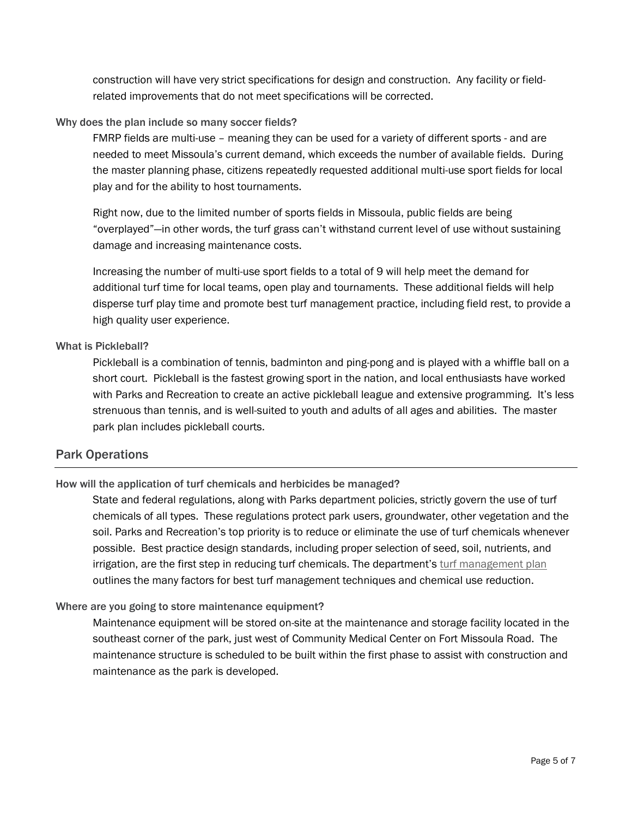construction will have very strict specifications for design and construction. Any facility or fieldrelated improvements that do not meet specifications will be corrected.

### Why does the plan include so many soccer fields?

FMRP fields are multi-use – meaning they can be used for a variety of different sports - and are needed to meet Missoula's current demand, which exceeds the number of available fields. During the master planning phase, citizens repeatedly requested additional multi-use sport fields for local play and for the ability to host tournaments.

Right now, due to the limited number of sports fields in Missoula, public fields are being "overplayed"—in other words, the turf grass can't withstand current level of use without sustaining damage and increasing maintenance costs.

Increasing the number of multi-use sport fields to a total of 9 will help meet the demand for additional turf time for local teams, open play and tournaments. These additional fields will help disperse turf play time and promote best turf management practice, including field rest, to provide a high quality user experience.

### What is Pickleball?

Pickleball is a combination of tennis, badminton and ping-pong and is played with a whiffle ball on a short court. Pickleball is the fastest growing sport in the nation, and local enthusiasts have worked with Parks and Recreation to create an active pickleball league and extensive programming. It's less strenuous than tennis, and is well-suited to youth and adults of all ages and abilities. The master park plan includes pickleball courts.

# Park Operations

## How will the application of turf chemicals and herbicides be managed?

State and federal regulations, along with Parks department policies, strictly govern the use of turf chemicals of all types. These regulations protect park users, groundwater, other vegetation and the soil. Parks and Recreation's top priority is to reduce or eliminate the use of turf chemicals whenever possible. Best practice design standards, including proper selection of seed, soil, nutrients, and irrigation, are the first step in reducing turf chemicals. The department's [turf management plan](http://www.ci.missoula.mt.us/1627/Turf-Management-Plan) outlines the many factors for best turf management techniques and chemical use reduction.

#### Where are you going to store maintenance equipment?

Maintenance equipment will be stored on-site at the maintenance and storage facility located in the southeast corner of the park, just west of Community Medical Center on Fort Missoula Road. The maintenance structure is scheduled to be built within the first phase to assist with construction and maintenance as the park is developed.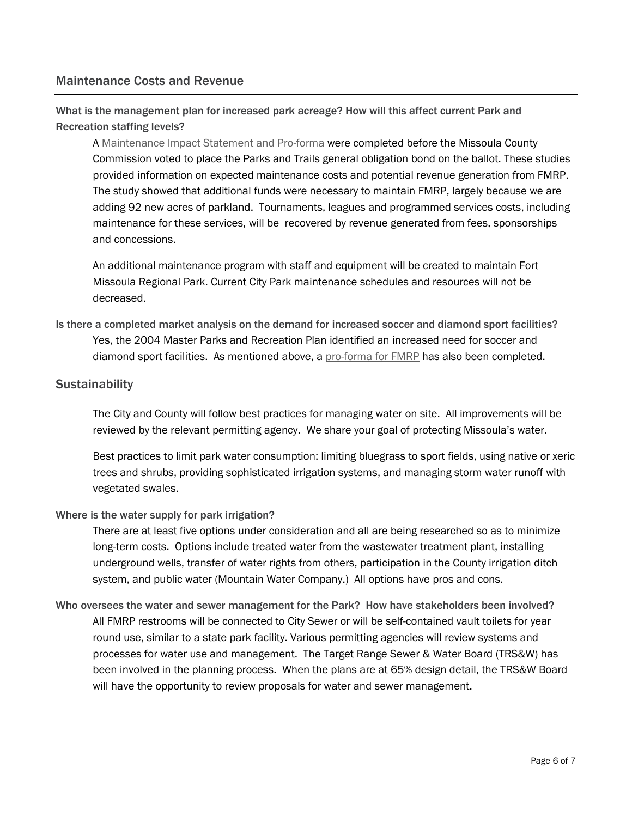# Maintenance Costs and Revenue

What is the management plan for increased park acreage? How will this affect current Park and Recreation staffing levels?

A [Maintenance Impact Statement and Pro-forma](http://www.ci.missoula.mt.us/DocumentCenter/View/31894) were completed before the Missoula County Commission voted to place the Parks and Trails general obligation bond on the ballot. These studies provided information on expected maintenance costs and potential revenue generation from FMRP. The study showed that additional funds were necessary to maintain FMRP, largely because we are adding 92 new acres of parkland. Tournaments, leagues and programmed services costs, including maintenance for these services, will be recovered by revenue generated from fees, sponsorships and concessions.

An additional maintenance program with staff and equipment will be created to maintain Fort Missoula Regional Park. Current City Park maintenance schedules and resources will not be decreased.

Is there a completed market analysis on the demand for increased soccer and diamond sport facilities? Yes, the 2004 Master Parks and Recreation Plan identified an increased need for soccer and diamond sport facilities. As mentioned above, a [pro-forma for FMRP](http://www.ci.missoula.mt.us/DocumentCenter/View/31894) has also been completed.

## **Sustainability**

The City and County will follow best practices for managing water on site. All improvements will be reviewed by the relevant permitting agency. We share your goal of protecting Missoula's water.

Best practices to limit park water consumption: limiting bluegrass to sport fields, using native or xeric trees and shrubs, providing sophisticated irrigation systems, and managing storm water runoff with vegetated swales.

#### Where is the water supply for park irrigation?

There are at least five options under consideration and all are being researched so as to minimize long-term costs. Options include treated water from the wastewater treatment plant, installing underground wells, transfer of water rights from others, participation in the County irrigation ditch system, and public water (Mountain Water Company.) All options have pros and cons.

Who oversees the water and sewer management for the Park? How have stakeholders been involved? All FMRP restrooms will be connected to City Sewer or will be self-contained vault toilets for year round use, similar to a state park facility. Various permitting agencies will review systems and processes for water use and management. The Target Range Sewer & Water Board (TRS&W) has been involved in the planning process. When the plans are at 65% design detail, the TRS&W Board will have the opportunity to review proposals for water and sewer management.